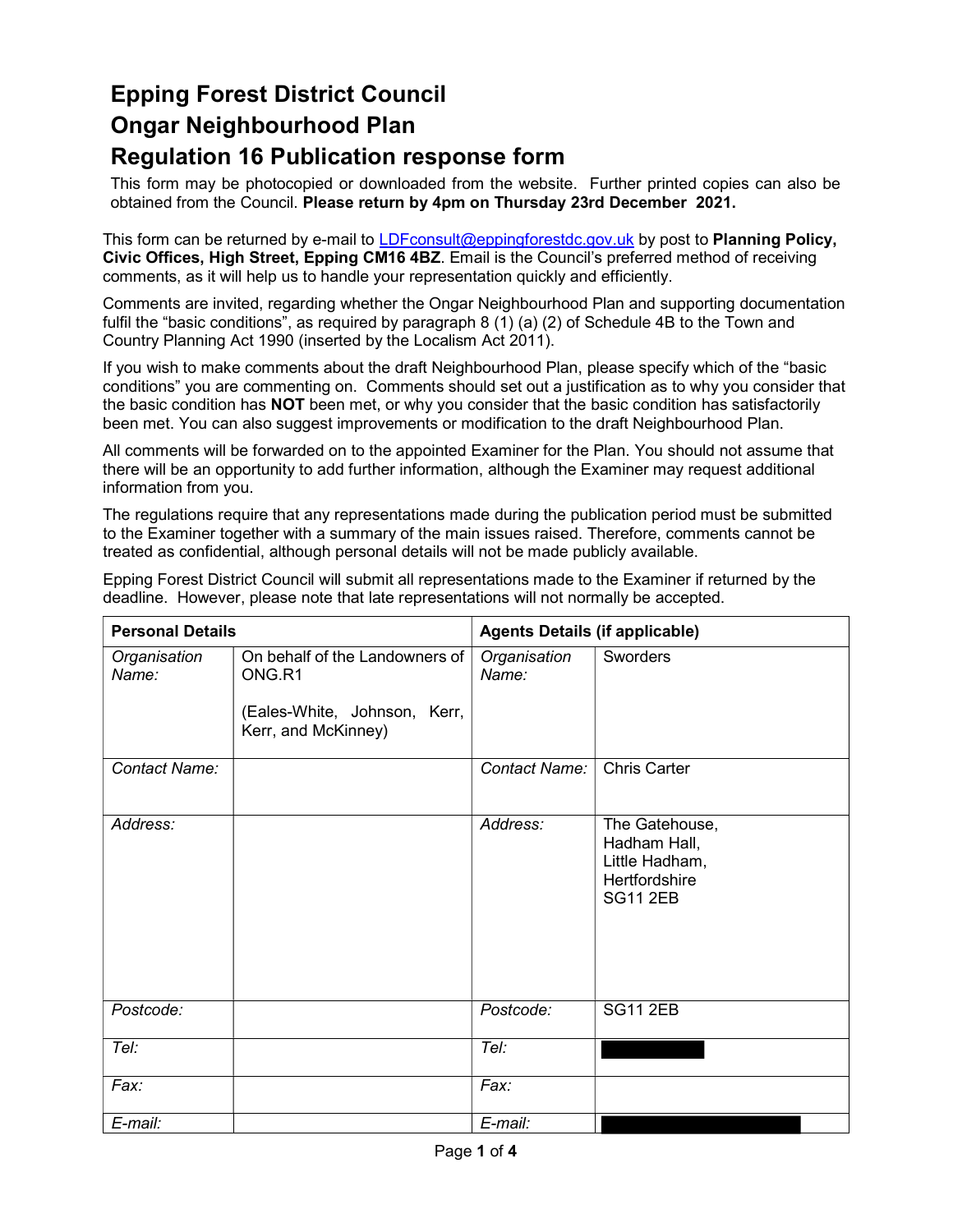### Epping Forest District Council Ongar Neighbourhood Plan Regulation 16 Publication response form

 This form may be photocopied or downloaded from the website. Further printed copies can also be obtained from the Council. Please return by 4pm on Thursday 23rd December 2021.

This form can be returned by e-mail to <u>LDFconsult@eppingforestdc.gov.uk</u> by post to **Planning Policy,**  Civic Offices, High Street, Epping CM16 4BZ. Email is the Council's preferred method of receiving comments, as it will help us to handle your representation quickly and efficiently.

 Comments are invited, regarding whether the Ongar Neighbourhood Plan and supporting documentation fulfil the "basic conditions", as required by paragraph 8 (1) (a) (2) of Schedule 4B to the Town and Country Planning Act 1990 (inserted by the Localism Act 2011).

 If you wish to make comments about the draft Neighbourhood Plan, please specify which of the "basic conditions" you are commenting on. Comments should set out a justification as to why you consider that the basic condition has **NOT** been met, or why you consider that the basic condition has satisfactorily been met. You can also suggest improvements or modification to the draft Neighbourhood Plan.

 All comments will be forwarded on to the appointed Examiner for the Plan. You should not assume that there will be an opportunity to add further information, although the Examiner may request additional information from you.

 The regulations require that any representations made during the publication period must be submitted to the Examiner together with a summary of the main issues raised. Therefore, comments cannot be treated as confidential, although personal details will not be made publicly available.

| <b>Personal Details</b> |                                                                                                 | <b>Agents Details (if applicable)</b> |                                                                                      |
|-------------------------|-------------------------------------------------------------------------------------------------|---------------------------------------|--------------------------------------------------------------------------------------|
| Organisation<br>Name:   | On behalf of the Landowners of<br>ONG.R1<br>(Eales-White, Johnson, Kerr,<br>Kerr, and McKinney) | Organisation<br>Name:                 | Sworders                                                                             |
| Contact Name:           |                                                                                                 | Contact Name:                         | <b>Chris Carter</b>                                                                  |
| Address:                |                                                                                                 | Address:                              | The Gatehouse,<br>Hadham Hall,<br>Little Hadham,<br>Hertfordshire<br><b>SG11 2EB</b> |
| Postcode:               |                                                                                                 | Postcode:                             | <b>SG11 2EB</b>                                                                      |
| Tel:                    |                                                                                                 | Tel:                                  |                                                                                      |
| Fax:                    |                                                                                                 | Fax:                                  |                                                                                      |
| E-mail:                 |                                                                                                 | E-mail:                               |                                                                                      |

 Epping Forest District Council will submit all representations made to the Examiner if returned by the deadline. However, please note that late representations will not normally be accepted.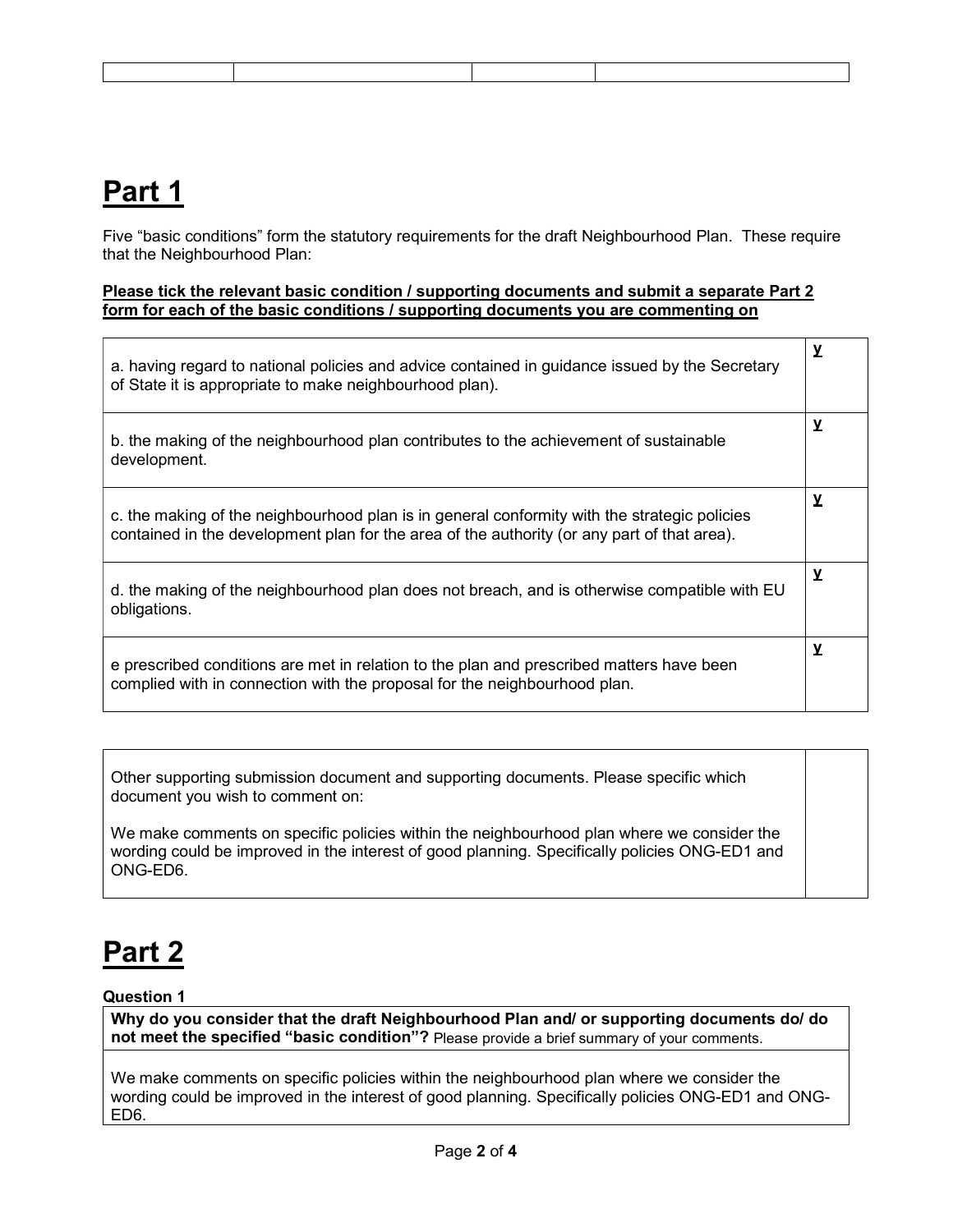## Part 1

 Five "basic conditions" form the statutory requirements for the draft Neighbourhood Plan. These require that the Neighbourhood Plan:

### Please tick the relevant basic condition / supporting documents and submit a separate Part 2 form for each of the basic conditions / supporting documents you are commenting on

| a. having regard to national policies and advice contained in guidance issued by the Secretary<br>of State it is appropriate to make neighbourhood plan).                                   | $\mathbf y$ |
|---------------------------------------------------------------------------------------------------------------------------------------------------------------------------------------------|-------------|
| b. the making of the neighbourhood plan contributes to the achievement of sustainable<br>development.                                                                                       | у           |
| c. the making of the neighbourhood plan is in general conformity with the strategic policies<br>contained in the development plan for the area of the authority (or any part of that area). | y           |
| d. the making of the neighbourhood plan does not breach, and is otherwise compatible with EU<br>obligations.                                                                                | y           |
| e prescribed conditions are met in relation to the plan and prescribed matters have been<br>complied with in connection with the proposal for the neighbourhood plan.                       | у           |

 Other supporting submission document and supporting documents. Please specific which document you wish to comment on:

 We make comments on specific policies within the neighbourhood plan where we consider the wording could be improved in the interest of good planning. Specifically policies ONG-ED1 and ONG-ED6.

# Part 2

### Question 1

 Why do you consider that the draft Neighbourhood Plan and/ or supporting documents do/ do not meet the specified "basic condition"? Please provide a brief summary of your comments.

 We make comments on specific policies within the neighbourhood plan where we consider the wording could be improved in the interest of good planning. Specifically policies ONG-ED1 and ONG-ED6.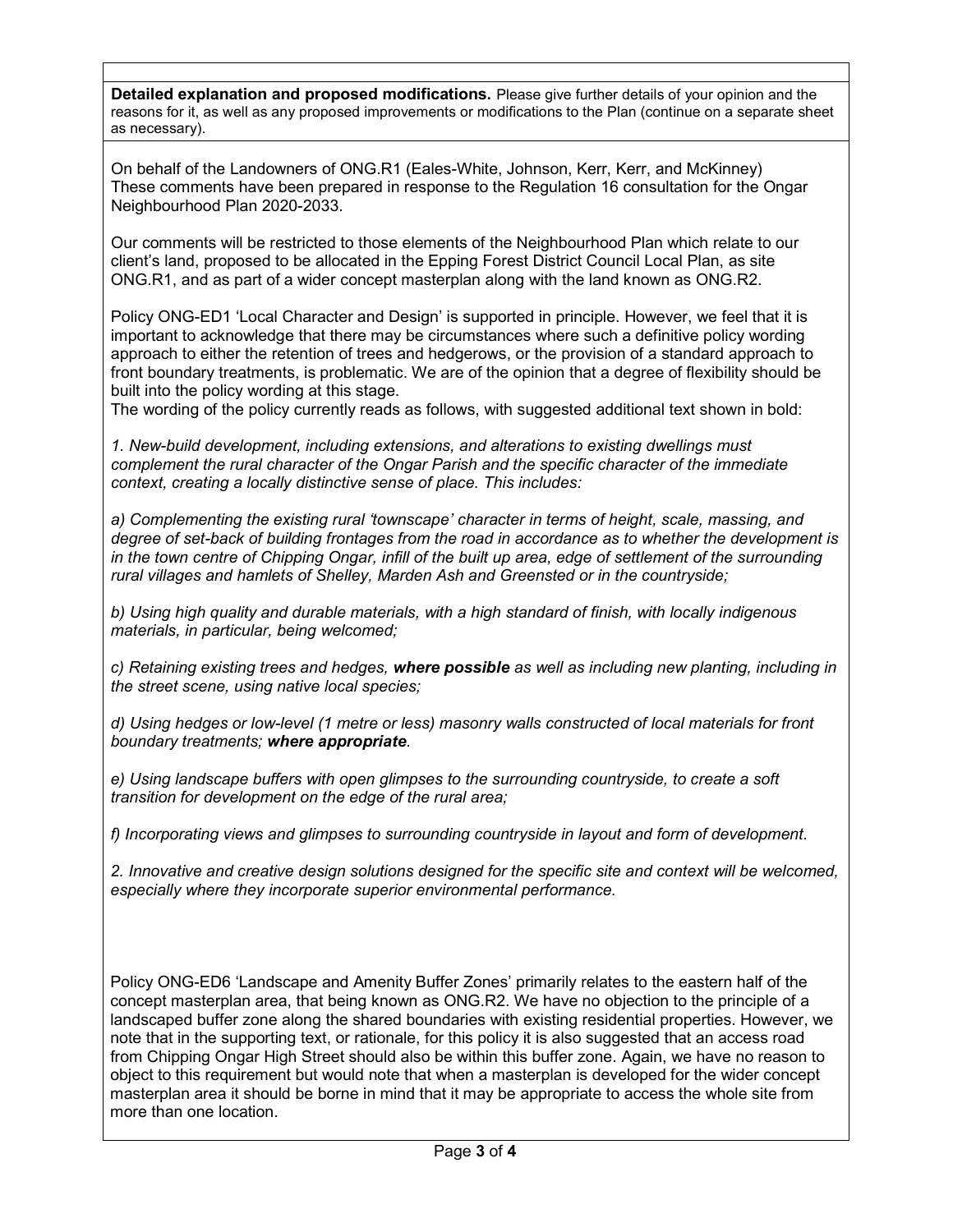Detailed explanation and proposed modifications. Please give further details of your opinion and the reasons for it, as well as any proposed improvements or modifications to the Plan (continue on a separate sheet as necessary).

 On behalf of the Landowners of ONG.R1 (Eales-White, Johnson, Kerr, Kerr, and McKinney) These comments have been prepared in response to the Regulation 16 consultation for the Ongar Neighbourhood Plan 2020-2033.

 Our comments will be restricted to those elements of the Neighbourhood Plan which relate to our client's land, proposed to be allocated in the Epping Forest District Council Local Plan, as site ONG.R1, and as part of a wider concept masterplan along with the land known as ONG.R2.

 Policy ONG-ED1 'Local Character and Design' is supported in principle. However, we feel that it is important to acknowledge that there may be circumstances where such a definitive policy wording approach to either the retention of trees and hedgerows, or the provision of a standard approach to front boundary treatments, is problematic. We are of the opinion that a degree of flexibility should be built into the policy wording at this stage.

The wording of the policy currently reads as follows, with suggested additional text shown in bold:

 1. New-build development, including extensions, and alterations to existing dwellings must complement the rural character of the Ongar Parish and the specific character of the immediate context, creating a locally distinctive sense of place. This includes:

 a) Complementing the existing rural 'townscape' character in terms of height, scale, massing, and degree of set-back of building frontages from the road in accordance as to whether the development is in the town centre of Chipping Ongar, infill of the built up area, edge of settlement of the surrounding rural villages and hamlets of Shelley, Marden Ash and Greensted or in the countryside;

 b) Using high quality and durable materials, with a high standard of finish, with locally indigenous materials, in particular, being welcomed;

c) Retaining existing trees and hedges, where possible as well as including new planting, including in the street scene, using native local species;

 d) Using hedges or low-level (1 metre or less) masonry walls constructed of local materials for front boundary treatments; where appropriate.

 e) Using landscape buffers with open glimpses to the surrounding countryside, to create a soft transition for development on the edge of the rural area;

f) Incorporating views and glimpses to surrounding countryside in layout and form of development.

 2. Innovative and creative design solutions designed for the specific site and context will be welcomed, especially where they incorporate superior environmental performance.

 Policy ONG-ED6 'Landscape and Amenity Buffer Zones' primarily relates to the eastern half of the concept masterplan area, that being known as ONG.R2. We have no objection to the principle of a landscaped buffer zone along the shared boundaries with existing residential properties. However, we note that in the supporting text, or rationale, for this policy it is also suggested that an access road from Chipping Ongar High Street should also be within this buffer zone. Again, we have no reason to object to this requirement but would note that when a masterplan is developed for the wider concept masterplan area it should be borne in mind that it may be appropriate to access the whole site from more than one location.